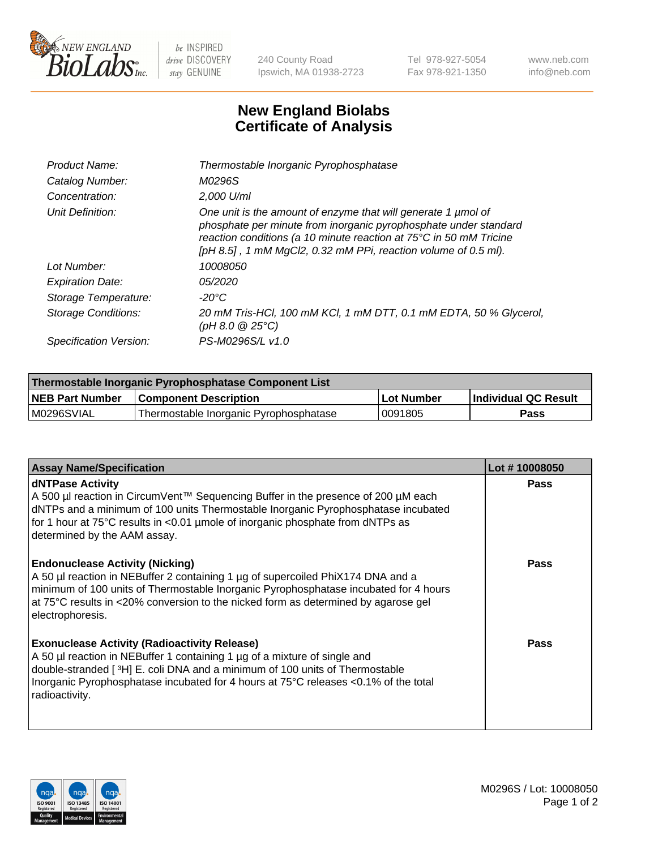

 $be$  INSPIRED drive DISCOVERY stay GENUINE

240 County Road Ipswich, MA 01938-2723 Tel 978-927-5054 Fax 978-921-1350 www.neb.com info@neb.com

## **New England Biolabs Certificate of Analysis**

| Product Name:           | Thermostable Inorganic Pyrophosphatase                                                                                                                                                                                                                                    |
|-------------------------|---------------------------------------------------------------------------------------------------------------------------------------------------------------------------------------------------------------------------------------------------------------------------|
| Catalog Number:         | M0296S                                                                                                                                                                                                                                                                    |
| Concentration:          | $2.000$ U/ml                                                                                                                                                                                                                                                              |
| Unit Definition:        | One unit is the amount of enzyme that will generate 1 umol of<br>phosphate per minute from inorganic pyrophosphate under standard<br>reaction conditions (a 10 minute reaction at 75°C in 50 mM Tricine<br>[pH 8.5], 1 mM MgCl2, 0.32 mM PPi, reaction volume of 0.5 ml). |
| Lot Number:             | 10008050                                                                                                                                                                                                                                                                  |
| <b>Expiration Date:</b> | <i>05/2020</i>                                                                                                                                                                                                                                                            |
| Storage Temperature:    | -20°C                                                                                                                                                                                                                                                                     |
| Storage Conditions:     | 20 mM Tris-HCl, 100 mM KCl, 1 mM DTT, 0.1 mM EDTA, 50 % Glycerol,<br>(pH 8.0 $@25°C$ )                                                                                                                                                                                    |
| Specification Version:  | PS-M0296S/L v1.0                                                                                                                                                                                                                                                          |

| Thermostable Inorganic Pyrophosphatase Component List |                                        |            |                             |  |
|-------------------------------------------------------|----------------------------------------|------------|-----------------------------|--|
| <b>NEB Part Number</b>                                | <b>Component Description</b>           | Lot Number | <b>Individual QC Result</b> |  |
| M0296SVIAL                                            | Thermostable Inorganic Pyrophosphatase | 0091805    | Pass                        |  |

| <b>Assay Name/Specification</b>                                                                                                                                                                                                                                                                                             | Lot #10008050 |
|-----------------------------------------------------------------------------------------------------------------------------------------------------------------------------------------------------------------------------------------------------------------------------------------------------------------------------|---------------|
| <b>dNTPase Activity</b><br>A 500 µl reaction in CircumVent™ Sequencing Buffer in the presence of 200 µM each<br>dNTPs and a minimum of 100 units Thermostable Inorganic Pyrophosphatase incubated<br>for 1 hour at 75°C results in <0.01 µmole of inorganic phosphate from dNTPs as<br>determined by the AAM assay.         | <b>Pass</b>   |
| <b>Endonuclease Activity (Nicking)</b><br>A 50 µl reaction in NEBuffer 2 containing 1 µg of supercoiled PhiX174 DNA and a<br>minimum of 100 units of Thermostable Inorganic Pyrophosphatase incubated for 4 hours<br>at 75°C results in <20% conversion to the nicked form as determined by agarose gel<br>electrophoresis. | <b>Pass</b>   |
| <b>Exonuclease Activity (Radioactivity Release)</b><br>A 50 µl reaction in NEBuffer 1 containing 1 µg of a mixture of single and<br>double-stranded [3H] E. coli DNA and a minimum of 100 units of Thermostable<br>Inorganic Pyrophosphatase incubated for 4 hours at 75°C releases <0.1% of the total<br>radioactivity.    | <b>Pass</b>   |